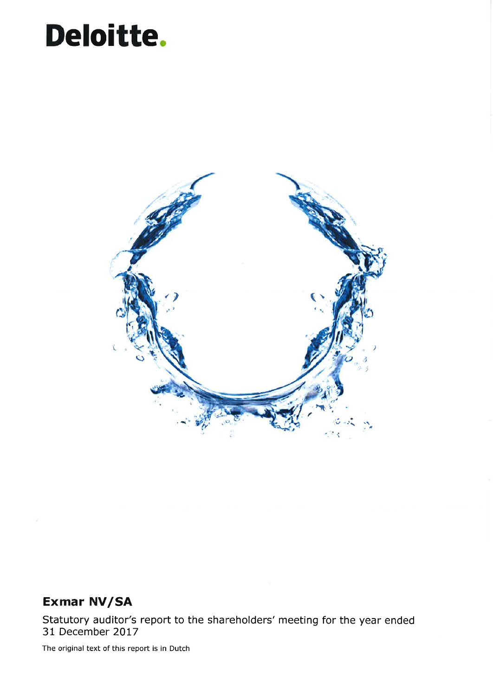# Deloitte.



## Exmar NV/SA

Statutory auditor's report to the shareholders' meeting for the year ended 31 December 2017

The original text of this report is in Dutch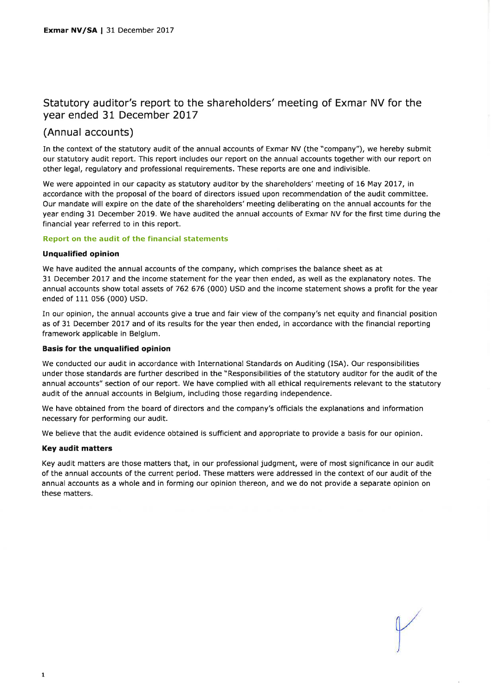#### Statutory auditor's report to the shareholders' meeting of Exmar NV for the year ended 31 December 2017

### (Annual accounts)

In the context of the statutory audit of the annual accounts of Exmar NV (the "company"), we hereby submit our statutory audit report, This report includes our report on the annual accounts together with our report on other legal, regulatory and professional requirements. These reports are one and indivisible.

We were appointed in our capacity as statutory auditor by the shareholders' meeting of 16 May 2017, in accordance with the proposal of the board of directors issued upon recommendation of the audit committee, Our mandate will expire on the date of the shareholders' meeting deliberating on the annual accounts for the year ending 31 December 2019. We have audited the annual accounts of Exmar NV for the first time during the financial year referred to in this report.

#### Report on the audit of the financial statements

#### Unqualified opinion

We have audited the annual accounts of the company, which comprises the balance sheet as at 31 December 2017 and the income statement for the year then ended, as well as the explanatory notes. The annual accounts show total assets of 762 676 (000) USD and the income statement shows a profit for the year ended of 111 056 (000) USD.

In our opinion, the annual accounts give a true and fair view of the company's net equity and financial position as of 31 December 2017 and of its results for the year then ended, in accordance with the financial reporting framework applicable in Belgium.

#### Basis for the unqualified opinion

We conducted our audit in accordance with International Standards on Auditing (ISA). Our responsibilities under those standards are further described in the "Responsibilities of the statutory auditor for the audit of the annual accounts" section of our report. We have complied with all ethical requirements relevant to the statutory audit of the annual accounts in Belgium, including those regarding independence.

We have obtained from the board of directors and the company's officials the explanations and information necessary for performing our audit.

We believe that the audit evidence obtained is sufficient and appropriate to provide a basis for our opinion.

#### Key audit matters

Key audit matters are those matters that, in our professional judgment, were of most significance in our audit of the annual accounts of the current period. These matters were addressed in the context of our audit of the annual accounts as a whole and in forming our opinion thereon, and we do not provide a separate opinion on these matters.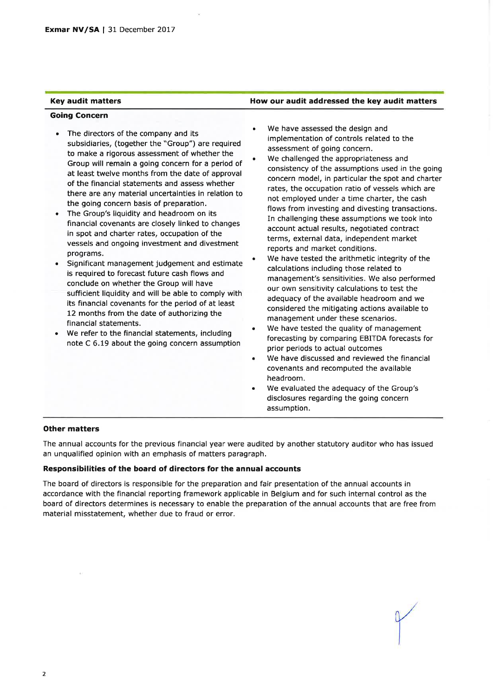#### Key audit matters **How our audit addressed the key audit matters**

#### Going Concern

- The directors of the company and its a subsidiaries, (together the "Group") are required to make a rigorous assessment of whether the Group will remain a going concern for a period of at least twelve months from the date of approval of the financial statements and assess whether there are any material uncertainties in relation to the going concern basis of preparation.
- The Group's liquidity and headroom on its a financial covenants are closely linked to changes in spot and charter rates, occupation of the vessels and ongoing investment and divestment programs.
- Significant management judgement and estimate a is required to forecast future cash flows and conclude on whether the Group will have sufficient liquidity and will be able to comply with its financial covenants for the period of at least 12 months from the date of authorizing the financial statements.
- We refer to the financial statements, including note C 6.19 about the going concern assumption a
- We have assessed the design and implementation of controls related to the assessment of going concern. a
- We challenged the appropriateness and consistency of the assumptions used in the going concern model, in particular the spot and charter rates, the occupation ratio of vessels which are not employed under a time charter, the cash flows from investing and divesting transactions. In challenging these assumptions we took into account actual results, negotiated contract terms, external data, independent market reports and market conditions. o
- We have tested the arithmetic integrity of the calculations including those related to management's sensitivities. We also performed our own sensitivity calculations to test the adequacy of the available headroom and we considered the mitigating actions available to management under these scenarios. a
- We have tested the quality of management forecasting by comparing EBITDA forecasts for prior periods to actual outcomes a
- We have discussed and reviewed the financial covenants and recomputed the available headroom. a
- We evaluated the adequacy of the Group's disclosures regarding the going concern assumption. a

#### Other matters

The annual accounts for the previous financial year were audited by another statutory auditor who has issued an unqualified opinion with an emphasis of matters paragraph.

#### Responsibilities of the board of directors for the annual accounts

The board of directors is responsible for the preparation and fair presentation of the annual accounts in accordance with the financial reporting framework applicable in Belgium and for such internal control as the board of directors determines is necessary to enable the preparation of the annual accounts that are free from material misstatement, whether due to fraud or error.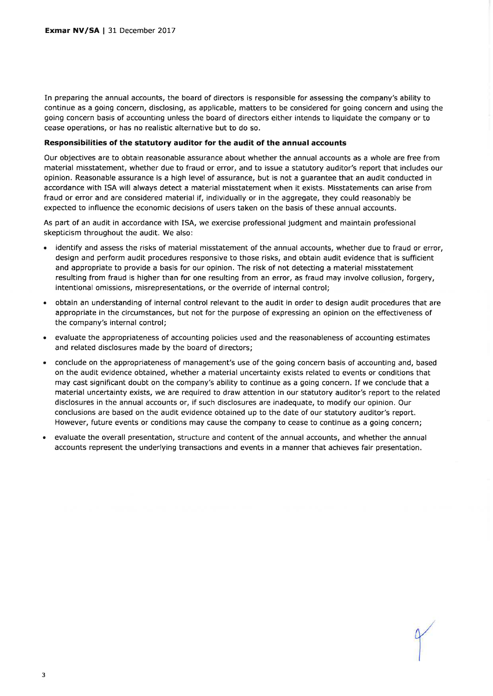In preparing the annual accounts, the board of directors is responsible for assessing the company's ability to continue as a going concern, disclosing, as applicable, matters to be considered for going concern and using the going concern basis of accounting unless the board of directors either intends to liquidate the company or to cease operations, or has no realistic alternative but to do so.

#### Responsibilities of the statutory auditor for the audit of the annual accounts

Our objectives are to obtain reasonable assurance about whether the annual accounts as a whole are free from material misstatement, whether due to fraud or error, and to issue a statutory auditor's report that includes our opinion. Reasonable assurance is a high level of assurance, but is not a guarantee that an audit conducted in accordance with ISA will always detect a material misstatement when it exists. Misstatements can arise from fraud or error and are considered material if, indlvidually or in the aggregate, they could reasonably be expected to influence the economic decisions of users taken on the basis of these annual accounts.

As part of an audit in accordance with ISA, we exercise professional judgment and maintain professional skepticism throughout the audit. We also:

- identify and assess the risks of material misstatement of the annual accounts, whether due to fraud or error, design and perform audit procedures responsive to those risks, and obtain audit evidence that is sufficient and appropriate to provide a basis for our opinion. The risk of not detecting a material misstatement resulting from fraud is higher than for one resulting from an error, as fraud may involve collusion, forgery, intentional omissions, misrepresentations, or the override of internal control;
- . obtain an understanding of internal control relevant to the audit in order to design audit procedures that are appropriate in the circumstances, but not for the purpose of expressing an opinion on the effectiveness of the company's internal control;
- a evaluate the appropriateness of accounting policies used and the reasonableness of accounting estimates and related disclosures made by the board of directors;
- a conclude on the appropriateness of management's use of the going concern basis of accounting and, based on the audit evidence obtained, whether a material uncertainty exists related to events or conditions that may cast significant doubt on the company's ability to continue as a going concern. If we conclude that <sup>a</sup> material uncertainty exists, we are required to draw attention in our statutory auditor's report to the related disclosures in the annual accounts or, if such disclosures are inadequate, to modify our opinion. Our conclusions are based on the audit evidence obtained up to the date of our statutory auditor's report. However, future events or conditions may cause the company to cease to continue as a going concern;
- evaluate the overall presentation, structure and content of the annual accounts, and whether the annual accounts represent the underlying transactions and events in a manner that achieves fair presentation. o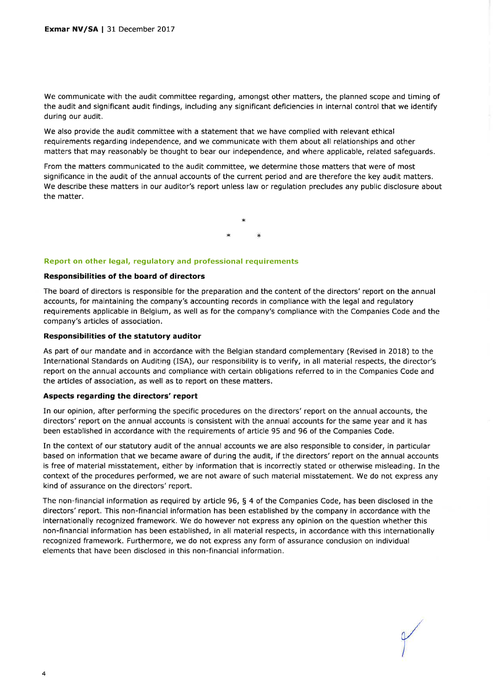We communicate with the audit committee regarding, amongst other matters, the planned scope and timing of the audit and significant audit findings, including any significant deficiencies in internal control that we identify during our audit.

We also provide the audit committee with a statement that we have complied with relevant ethical requirements regarding independence, and we communicate with them about all relationships and other matters that may reasonably be thought to bear our independence, and where applicable, related safeguards.

From the matters communicated to the audit committee, we determine those matters that were of most significance in the audit of the annual accounts of the current period and are therefore the key audit matters, We describe these matters in our auditor's report unless law or regulation precludes any public disclosure about the matter,

#### Report on other legal, regulatory and professional requirements

#### Responsibilities of the board of directors

The board of directors is responsible for the preparation and the content of the directors' report on the annual accounts, for maintaining the company's accounting records in compliance with the legal and regulatory requirements applicable in Belgium, as well as for the company's compliance with the Companies Code and the company's articles of association.

#### Responsibilities of the statutory auditor

As part of our mandate and in accordance with the Belgian standard complementary (Revised in 2018) to the International Standards on Auditing (ISA), our responsibility is to verify, in all material respects, the director's report on the annual accounts and compliance with certain obligations referred to in the Companies Code and the articles of association, as well as to report on these matters.

#### Aspects regarding the directors' report

In our opinion, after performing the specific procedures on the directors' report on the annual accounts, the directors' report on the annual accounts is consistent with the annual accounts for the same year and it has been established in accordance with the requirements of article 95 and 96 of the Companies Code.

In the context of our statutory audit of the annual accounts we are also responsible to consider, in particular based on information that we became aware of during the audit, if the directors' report on the annual accounts is free of material misstatement, either by information that is incorrectly stated or otherwise misleading. In the context of the procedures performed, we are not aware of such material misstatement. We do not express any kind of assurance on the directors' report.

The non-financial information as required by article 96, § 4 of the Companies Code, has been disclosed in the directors' report, This non-financial information has been established by the company in accordance with the internationally recognized framework. We do however not express any opinion on the question whether this non-financial information has been established, in all material respects, in accordance with this internationally recognized framework. Furthermore, we do not express any form of assurance conclusion on individual elements that have been disclosed in this non-financial information.